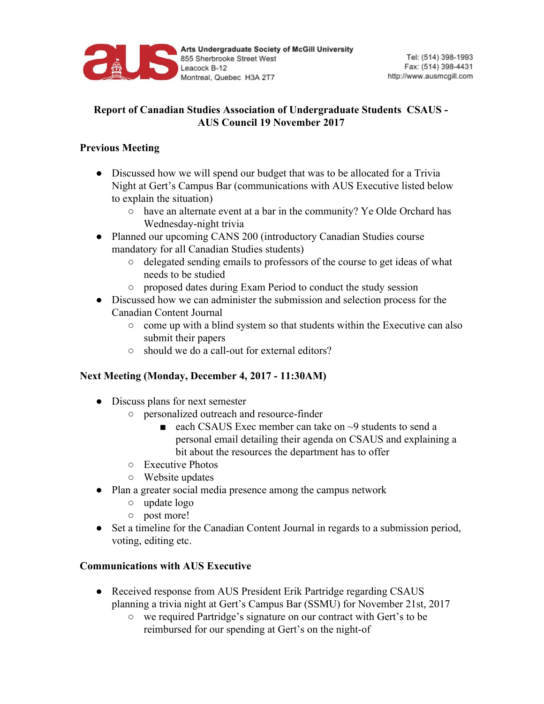

## **Report of Canadian Studies Association of Undergraduate Students CSAUS - AUS Council 19 November 2017**

## **Previous Meeting**

- Discussed how we will spend our budget that was to be allocated for a Trivia Night at Gert's Campus Bar (communications with AUS Executive listed below to explain the situation)
	- have an alternate event at a bar in the community? Ye Olde Orchard has Wednesday-night trivia
- Planned our upcoming CANS 200 (introductory Canadian Studies course mandatory for all Canadian Studies students)
	- delegated sending emails to professors of the course to get ideas of what needs to be studied
	- proposed dates during Exam Period to conduct the study session
- Discussed how we can administer the submission and selection process for the Canadian Content Journal
	- come up with a blind system so that students within the Executive can also submit their papers
	- should we do a call-out for external editors?

## **Next Meeting (Monday, December 4, 2017 - 11:30AM)**

- Discuss plans for next semester
	- personalized outreach and resource-finder
		- each CSAUS Exec member can take on ~9 students to send a personal email detailing their agenda on CSAUS and explaining a bit about the resources the department has to offer
	- Executive Photos
	- Website updates
- Plan a greater social media presence among the campus network
	- update logo
	- post more!
- Set a timeline for the Canadian Content Journal in regards to a submission period, voting, editing etc.

## **Communications with AUS Executive**

- Received response from AUS President Erik Partridge regarding CSAUS planning a trivia night at Gert's Campus Bar (SSMU) for November 21st, 2017
	- we required Partridge's signature on our contract with Gert's to be reimbursed for our spending at Gert's on the night-of